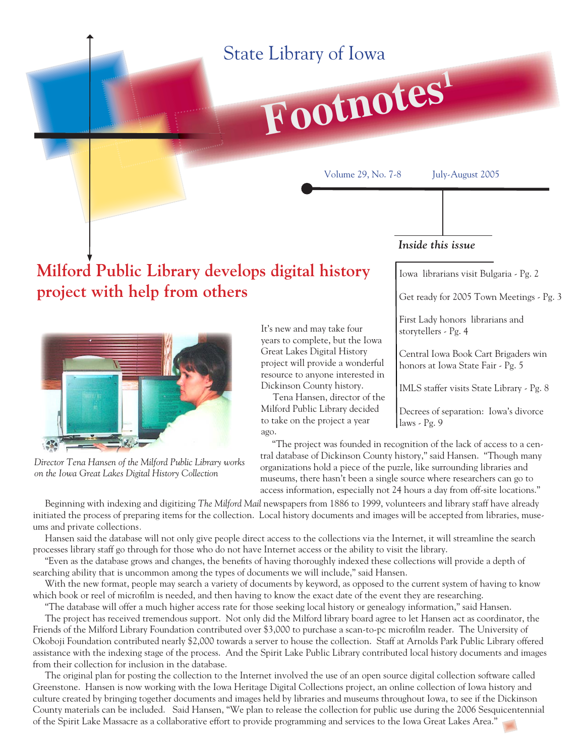## State Library of Iowa

# **Footnotes<sup>1</sup>**

Volume 29, No. 7-8 July-August 2005

#### *Inside this issue*

Iowa librarians visit Bulgaria - Pg. 2

Get ready for 2005 Town Meetings - Pg. 3

First Lady honors librarians and storytellers - Pg. 4

Central Iowa Book Cart Brigaders win honors at Iowa State Fair - Pg. 5

IMLS staffer visits State Library - Pg. 8

Decrees of separation: Iowa's divorce laws - Pg. 9

 "The project was founded in recognition of the lack of access to a central database of Dickinson County history," said Hansen. "Though many organizations hold a piece of the puzzle, like surrounding libraries and museums, there hasn't been a single source where researchers can go to access information, especially not 24 hours a day from off-site locations."

 Beginning with indexing and digitizing *The Milford Mail* newspapers from 1886 to 1999, volunteers and library staff have already initiated the process of preparing items for the collection. Local history documents and images will be accepted from libraries, museums and private collections*.*

ago.

It's new and may take four years to complete, but the Iowa Great Lakes Digital History project will provide a wonderful resource to anyone interested in Dickinson County history.

 Tena Hansen, director of the Milford Public Library decided to take on the project a year

Hansen said the database will not only give people direct access to the collections via the Internet, it will streamline the search processes library staff go through for those who do not have Internet access or the ability to visit the library.

"Even as the database grows and changes, the benefits of having thoroughly indexed these collections will provide a depth of searching ability that is uncommon among the types of documents we will include," said Hansen.

 With the new format, people may search a variety of documents by keyword, as opposed to the current system of having to know which book or reel of microfilm is needed, and then having to know the exact date of the event they are researching.

 "The database will offer a much higher access rate for those seeking local history or genealogy information," said Hansen. The project has received tremendous support. Not only did the Milford library board agree to let Hansen act as coordinator, the Friends of the Milford Library Foundation contributed over \$3,000 to purchase a scan-to-pc microfilm reader. The University of Okoboji Foundation contributed nearly \$2,000 towards a server to house the collection. Staff at Arnolds Park Public Library offered

assistance with the indexing stage of the process. And the Spirit Lake Public Library contributed local history documents and images from their collection for inclusion in the database.

 The original plan for posting the collection to the Internet involved the use of an open source digital collection software called Greenstone. Hansen is now working with the Iowa Heritage Digital Collections project, an online collection of Iowa history and culture created by bringing together documents and images held by libraries and museums throughout Iowa, to see if the Dickinson County materials can be included. Said Hansen, "We plan to release the collection for public use during the 2006 Sesquicentennial of the Spirit Lake Massacre as a collaborative effort to provide programming and services to the Iowa Great Lakes Area."

*Director Tena Hansen of the Milford Public Library works on the Iowa Great Lakes Digital History Collection*



**project with help from others** 

**Milford Public Library develops digital history** 

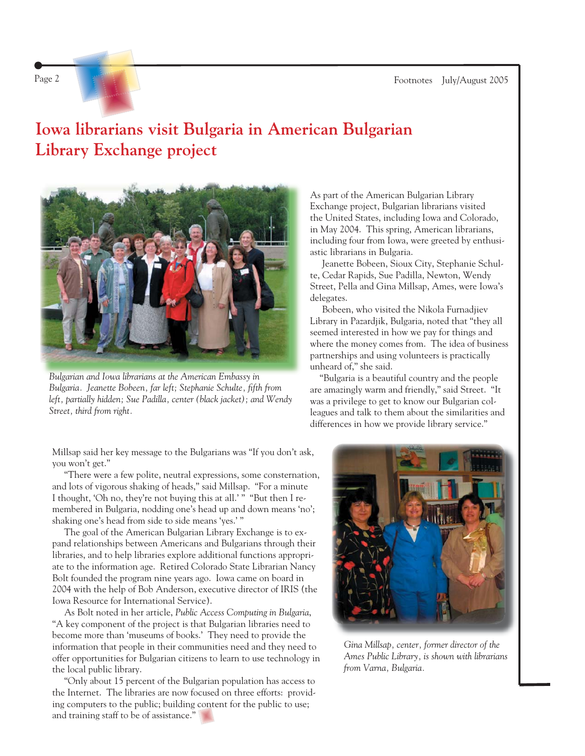Page 2 Footnotes July/August 2005

## **Iowa librarians visit Bulgaria in American Bulgarian Library Exchange project**



*Bulgarian and Iowa librarians at the American Embassy in*  Bulgaria. Jeanette Bobeen, far left; Stephanie Schulte, fifth from *left, partially hidden; Sue Padilla, center (black jacket); and Wendy Street, third from right.*

As part of the American Bulgarian Library Exchange project, Bulgarian librarians visited the United States, including Iowa and Colorado, in May 2004. This spring, American librarians, including four from Iowa, were greeted by enthusiastic librarians in Bulgaria.

 Jeanette Bobeen, Sioux City, Stephanie Schulte, Cedar Rapids, Sue Padilla, Newton, Wendy Street, Pella and Gina Millsap, Ames, were Iowa's delegates.

 Bobeen, who visited the Nikola Furnadjiev Library in Pazardjik, Bulgaria, noted that "they all seemed interested in how we pay for things and where the money comes from. The idea of business partnerships and using volunteers is practically unheard of," she said.

 "Bulgaria is a beautiful country and the people are amazingly warm and friendly," said Street. "It was a privilege to get to know our Bulgarian colleagues and talk to them about the similarities and differences in how we provide library service."

Millsap said her key message to the Bulgarians was "If you don't ask, you won't get."

 "There were a few polite, neutral expressions, some consternation, and lots of vigorous shaking of heads," said Millsap. "For a minute I thought, 'Oh no, they're not buying this at all.' " "But then I remembered in Bulgaria, nodding one's head up and down means 'no'; shaking one's head from side to side means 'yes.' "

 The goal of the American Bulgarian Library Exchange is to expand relationships between Americans and Bulgarians through their libraries, and to help libraries explore additional functions appropriate to the information age. Retired Colorado State Librarian Nancy Bolt founded the program nine years ago. Iowa came on board in 2004 with the help of Bob Anderson, executive director of IRIS (the Iowa Resource for International Service).

 As Bolt noted in her article, *Public Access Computing in Bulgaria*, "A key component of the project is that Bulgarian libraries need to become more than 'museums of books.' They need to provide the information that people in their communities need and they need to offer opportunities for Bulgarian citizens to learn to use technology in the local public library.

 "Only about 15 percent of the Bulgarian population has access to the Internet. The libraries are now focused on three efforts: providing computers to the public; building content for the public to use; and training staff to be of assistance."



*Gina Millsap, center, former director of the Ames Public Library, is shown with librarians from Varna, Bulgaria.*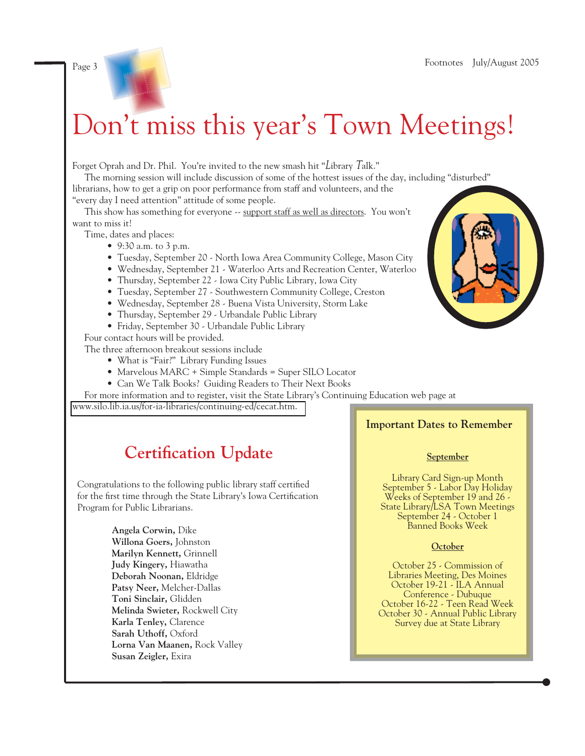## Don't miss this year's Town Meetings!

Forget Oprah and Dr. Phil. You're invited to the new smash hit "Library Talk."

 The morning session will include discussion of some of the hottest issues of the day, including "disturbed" librarians, how to get a grip on poor performance from staff and volunteers, and the

"every day I need attention" attitude of some people.

This show has something for everyone  $\sim$  support staff as well as directors. You won't want to miss it!

Time, dates and places:

- 9:30 a.m. to 3 p.m.
- Tuesday, September 20 North Iowa Area Community College, Mason City
- Wednesday, September 21 Waterloo Arts and Recreation Center, Waterloo
- Thursday, September 22 Iowa City Public Library, Iowa City
- Tuesday, September 27 Southwestern Community College, Creston
- Wednesday, September 28 Buena Vista University, Storm Lake
- Thursday, September 29 Urbandale Public Library
- Friday, September 30 Urbandale Public Library

Four contact hours will be provided.

The three afternoon breakout sessions include

- What is "Fair?" Library Funding Issues
- Marvelous MARC + Simple Standards = Super SILO Locator
- Can We Talk Books? Guiding Readers to Their Next Books

 For more information and to register, visit the State Library's Continuing Education web page at <www.silo.lib.ia.us/for-ia-libraries/continuing-ed/cecat.htm.>

## **Certification Update**

Congratulations to the following public library staff certified for the first time through the State Library's Iowa Certification Program for Public Librarians.

> **Angela Corwin,** Dike **Willona Goers,** Johnston **Marilyn Kennett,** Grinnell **Judy Kingery,** Hiawatha **Deborah Noonan,** Eldridge **Patsy Neer,** Melcher-Dallas **Toni Sinclair,** Glidden **Melinda Swieter,** Rockwell City **Karla Tenley,** Clarence **Sarah Uthoff,** Oxford **Lorna Van Maanen,** Rock Valley **Susan Zeigler,** Exira

#### **Important Dates to Remember**

#### **September**

Library Card Sign-up Month September 5 - Labor Day Holiday Weeks of September 19 and 26 - State Library/LSA Town Meetings September 24 - October 1 Banned Books Week

#### **October**

October 25 - Commission of Libraries Meeting, Des Moines October 19-21 - ILA Annual Conference - Dubuque October 16-22 - Teen Read Week October 30 - Annual Public Library Survey due at State Library

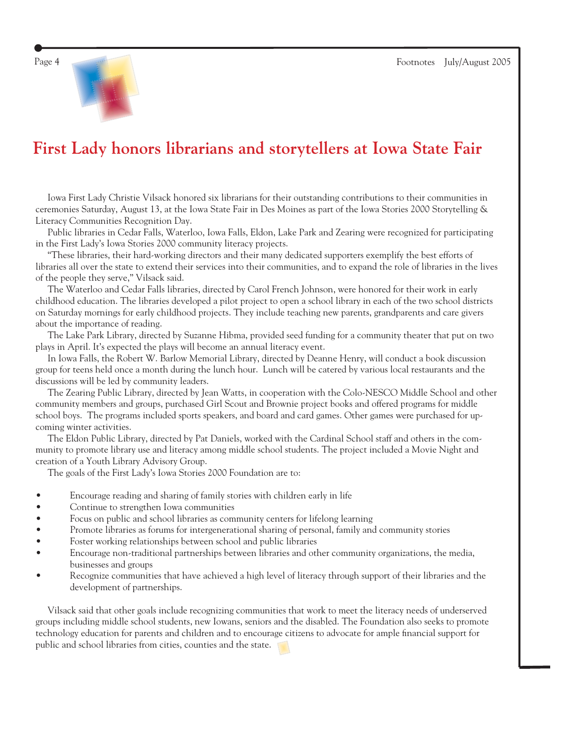



## **First Lady honors librarians and storytellers at Iowa State Fair**

 Iowa First Lady Christie Vilsack honored six librarians for their outstanding contributions to their communities in ceremonies Saturday, August 13, at the Iowa State Fair in Des Moines as part of the Iowa Stories 2000 Storytelling & Literacy Communities Recognition Day.

 Public libraries in Cedar Falls, Waterloo, Iowa Falls, Eldon, Lake Park and Zearing were recognized for participating in the First Lady's Iowa Stories 2000 community literacy projects.

 "These libraries, their hard-working directors and their many dedicated supporters exemplify the best efforts of libraries all over the state to extend their services into their communities, and to expand the role of libraries in the lives of the people they serve," Vilsack said.

 The Waterloo and Cedar Falls libraries, directed by Carol French Johnson, were honored for their work in early childhood education. The libraries developed a pilot project to open a school library in each of the two school districts on Saturday mornings for early childhood projects. They include teaching new parents, grandparents and care givers about the importance of reading.

 The Lake Park Library, directed by Suzanne Hibma, provided seed funding for a community theater that put on two plays in April. It's expected the plays will become an annual literacy event.

 In Iowa Falls, the Robert W. Barlow Memorial Library, directed by Deanne Henry, will conduct a book discussion group for teens held once a month during the lunch hour. Lunch will be catered by various local restaurants and the discussions will be led by community leaders.

 The Zearing Public Library, directed by Jean Watts, in cooperation with the Colo-NESCO Middle School and other community members and groups, purchased Girl Scout and Brownie project books and offered programs for middle school boys. The programs included sports speakers, and board and card games. Other games were purchased for upcoming winter activities.

 The Eldon Public Library, directed by Pat Daniels, worked with the Cardinal School staff and others in the community to promote library use and literacy among middle school students. The project included a Movie Night and creation of a Youth Library Advisory Group.

The goals of the First Lady's Iowa Stories 2000 Foundation are to:

- Encourage reading and sharing of family stories with children early in life
- Continue to strengthen Iowa communities
- Focus on public and school libraries as community centers for lifelong learning
- Promote libraries as forums for intergenerational sharing of personal, family and community stories
- Foster working relationships between school and public libraries
- Encourage non-traditional partnerships between libraries and other community organizations, the media, businesses and groups
- Recognize communities that have achieved a high level of literacy through support of their libraries and the development of partnerships.

 Vilsack said that other goals include recognizing communities that work to meet the literacy needs of underserved groups including middle school students, new Iowans, seniors and the disabled. The Foundation also seeks to promote technology education for parents and children and to encourage citizens to advocate for ample financial support for public and school libraries from cities, counties and the state.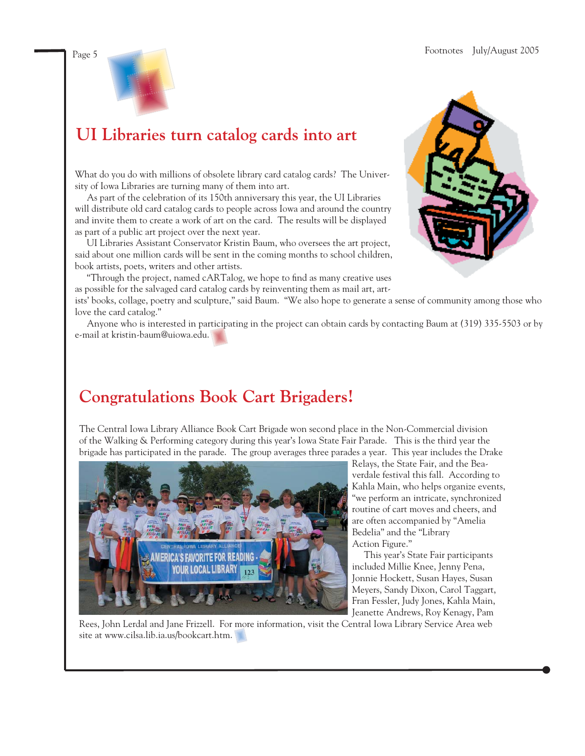



## **UI Libraries turn catalog cards into art**

What do you do with millions of obsolete library card catalog cards? The University of Iowa Libraries are turning many of them into art.

 As part of the celebration of its 150th anniversary this year, the UI Libraries will distribute old card catalog cards to people across Iowa and around the country and invite them to create a work of art on the card. The results will be displayed as part of a public art project over the next year.

 UI Libraries Assistant Conservator Kristin Baum, who oversees the art project, said about one million cards will be sent in the coming months to school children, book artists, poets, writers and other artists.

"Through the project, named cARTalog, we hope to find as many creative uses as possible for the salvaged card catalog cards by reinventing them as mail art, art-

ists' books, collage, poetry and sculpture," said Baum. "We also hope to generate a sense of community among those who love the card catalog."

 Anyone who is interested in participating in the project can obtain cards by contacting Baum at (319) 335-5503 or by e-mail at [kristin-baum@uiowa.edu.](mailto:kristin-baum@uiowa.edu)

## **Congratulations Book Cart Brigaders!**

The Central Iowa Library Alliance Book Cart Brigade won second place in the Non-Commercial division of the Walking & Performing category during this year's Iowa State Fair Parade. This is the third year the brigade has participated in the parade. The group averages three parades a year. This year includes the Drake



Relays, the State Fair, and the Beaverdale festival this fall. According to Kahla Main, who helps organize events, "we perform an intricate, synchronized routine of cart moves and cheers, and are often accompanied by "Amelia Bedelia" and the "Library Action Figure."

 This year's State Fair participants included Millie Knee, Jenny Pena, Jonnie Hockett, Susan Hayes, Susan Meyers, Sandy Dixon, Carol Taggart, Fran Fessler, Judy Jones, Kahla Main, Jeanette Andrews, Roy Kenagy, Pam

Rees, John Lerdal and Jane Frizzell. For more information, visit the Central Iowa Library Service Area web site at [www.cilsa.lib.ia.us/bookcart.htm.](http://www.cilsa.lib.ia.us/bookcart.htm)

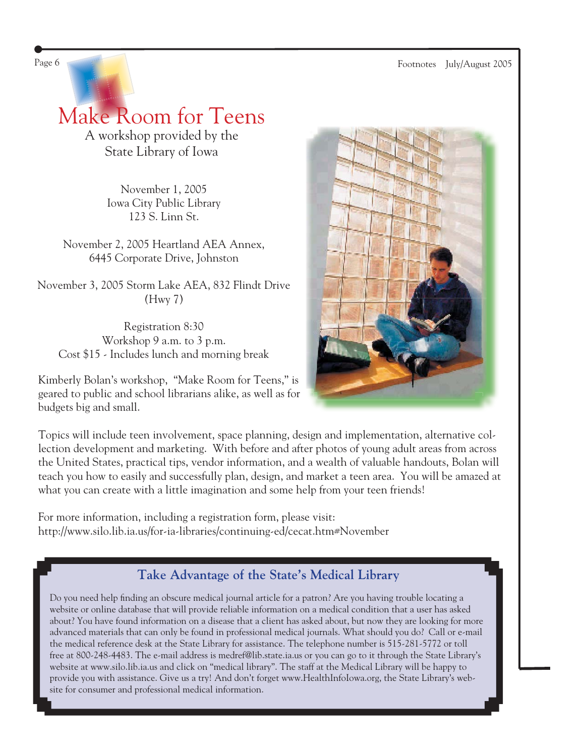Page 6 Footnotes July/August 2005

Make Room for Teens A workshop provided by the State Library of Iowa

> November 1, 2005 Iowa City Public Library 123 S. Linn St.

November 2, 2005 Heartland AEA Annex, 6445 Corporate Drive, Johnston

November 3, 2005 Storm Lake AEA, 832 Flindt Drive (Hwy 7)

Registration 8:30 Workshop 9 a.m. to 3 p.m. Cost \$15 - Includes lunch and morning break

Kimberly Bolan's workshop, "Make Room for Teens," is geared to public and school librarians alike, as well as for budgets big and small.



Topics will include teen involvement, space planning, design and implementation, alternative collection development and marketing. With before and after photos of young adult areas from across the United States, practical tips, vendor information, and a wealth of valuable handouts, Bolan will teach you how to easily and successfully plan, design, and market a teen area. You will be amazed at what you can create with a little imagination and some help from your teen friends!

For more information, including a registration form, please visit: <http://www.silo.lib.ia.us/for-ia-libraries/continuing-ed/cecat.htm#November>

### **Take Advantage of the State's Medical Library**

Do you need help finding an obscure medical journal article for a patron? Are you having trouble locating a website or online database that will provide reliable information on a medical condition that a user has asked about? You have found information on a disease that a client has asked about, but now they are looking for more advanced materials that can only be found in professional medical journals. What should you do? Call or e-mail the medical reference desk at the State Library for assistance. The telephone number is 515-281-5772 or toll free at 800-248-4483. The e-mail address is medref@lib.state.ia.us or you can go to it through the State Library's website at [www.silo.lib.ia.us a](http://www.silo.lib.ia.us)nd click on "medical library". The staff at the Medical Library will be happy to provide you with assistance. Give us a try! And don't forget www.HealthInfoIowa.org, the State Library's website for consumer and professional medical information.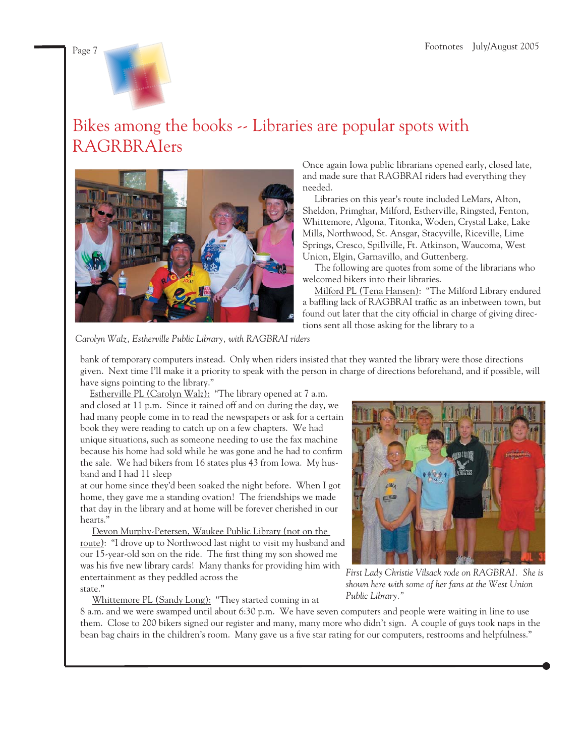

## Bikes among the books -- Libraries are popular spots with RAGRBRAIers



Once again Iowa public librarians opened early, closed late, and made sure that RAGBRAI riders had everything they needed.

 Libraries on this year's route included LeMars, Alton, Sheldon, Primghar, Milford, Estherville, Ringsted, Fenton, Whittemore, Algona, Titonka, Woden, Crystal Lake, Lake Mills, Northwood, St. Ansgar, Stacyville, Riceville, Lime Springs, Cresco, Spillville, Ft. Atkinson, Waucoma, West Union, Elgin, Garnavillo, and Guttenberg.

 The following are quotes from some of the librarians who welcomed bikers into their libraries.

 Milford PL (Tena Hansen): "The Milford Library endured a baffling lack of RAGBRAI traffic as an inbetween town, but found out later that the city official in charge of giving directions sent all those asking for the library to a

*Carolyn Walz, Estherville Public Library, with RAGBRAI riders*

bank of temporary computers instead. Only when riders insisted that they wanted the library were those directions given. Next time I'll make it a priority to speak with the person in charge of directions beforehand, and if possible, will have signs pointing to the library."

Estherville PL (Carolyn Walz): "The library opened at 7 a.m. and closed at 11 p.m. Since it rained off and on during the day, we had many people come in to read the newspapers or ask for a certain book they were reading to catch up on a few chapters. We had unique situations, such as someone needing to use the fax machine because his home had sold while he was gone and he had to confirm the sale. We had bikers from 16 states plus 43 from Iowa. My husband and I had 11 sleep

at our home since they'd been soaked the night before. When I got home, they gave me a standing ovation! The friendships we made that day in the library and at home will be forever cherished in our hearts."

 Devon Murphy-Petersen, Waukee Public Library (not on the route): "I drove up to Northwood last night to visit my husband and our 15-year-old son on the ride. The first thing my son showed me was his five new library cards! Many thanks for providing him with entertainment as they peddled across the state."

Whittemore PL (Sandy Long): "They started coming in at



*First Lady Christie Vilsack rode on RAGBRAI. She is shown here with some of her fans at the West Union Public Library."*

8 a.m. and we were swamped until about 6:30 p.m. We have seven computers and people were waiting in line to use them. Close to 200 bikers signed our register and many, many more who didn't sign. A couple of guys took naps in the bean bag chairs in the children's room. Many gave us a five star rating for our computers, restrooms and helpfulness."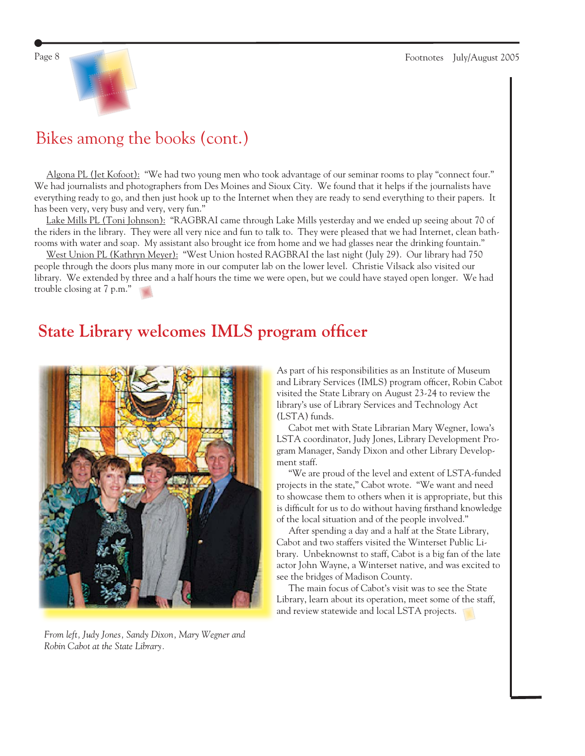

## Bikes among the books (cont.)

 Algona PL (Jet Kofoot): "We had two young men who took advantage of our seminar rooms to play "connect four." We had journalists and photographers from Des Moines and Sioux City. We found that it helps if the journalists have everything ready to go, and then just hook up to the Internet when they are ready to send everything to their papers. It has been very, very busy and very, very fun."

 Lake Mills PL (Toni Johnson): "RAGBRAI came through Lake Mills yesterday and we ended up seeing about 70 of the riders in the library. They were all very nice and fun to talk to. They were pleased that we had Internet, clean bathrooms with water and soap. My assistant also brought ice from home and we had glasses near the drinking fountain."

 West Union PL (Kathryn Meyer): "West Union hosted RAGBRAI the last night (July 29). Our library had 750 people through the doors plus many more in our computer lab on the lower level. Christie Vilsack also visited our library. We extended by three and a half hours the time we were open, but we could have stayed open longer. We had trouble closing at 7 p.m."

## **State Library welcomes IMLS program officer**



*From left, Judy Jones, Sandy Dixon, Mary Wegner and Robin Cabot at the State Library.*

As part of his responsibilities as an Institute of Museum and Library Services (IMLS) program officer, Robin Cabot visited the State Library on August 23-24 to review the library's use of Library Services and Technology Act (LSTA) funds.

 Cabot met with State Librarian Mary Wegner, Iowa's LSTA coordinator, Judy Jones, Library Development Program Manager, Sandy Dixon and other Library Development staff.

 "We are proud of the level and extent of LSTA-funded projects in the state," Cabot wrote. "We want and need to showcase them to others when it is appropriate, but this is difficult for us to do without having firsthand knowledge of the local situation and of the people involved."

 After spending a day and a half at the State Library, Cabot and two staffers visited the Winterset Public Library. Unbeknownst to staff, Cabot is a big fan of the late actor John Wayne, a Winterset native, and was excited to see the bridges of Madison County.

 The main focus of Cabot's visit was to see the State Library, learn about its operation, meet some of the staff, and review statewide and local LSTA projects.